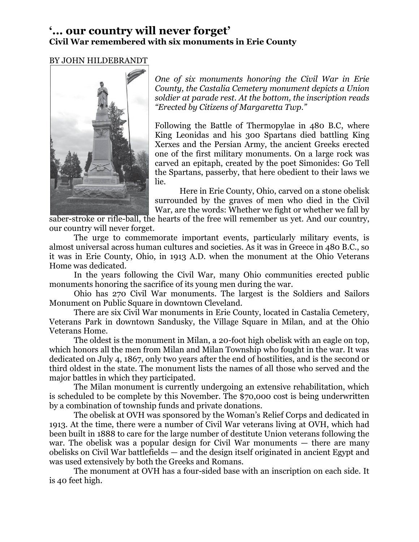## **'... our country will never forget' Civil War remembered with six monuments in Erie County**

## BY JOHN HILDEBRANDT



*One of six monuments honoring the Civil War in Erie County, the Castalia Cemetery monument depicts a Union soldier at parade rest. At the bottom, the inscription reads "Erected by Citizens of Margaretta Twp."*

Following the Battle of Thermopylae in 480 B.C, where King Leonidas and his 300 Spartans died battling King Xerxes and the Persian Army, the ancient Greeks erected one of the first military monuments. On a large rock was carved an epitaph, created by the poet Simonides: Go Tell the Spartans, passerby, that here obedient to their laws we lie.

Here in Erie County, Ohio, carved on a stone obelisk surrounded by the graves of men who died in the Civil War, are the words: Whether we fight or whether we fall by

saber-stroke or rifle-ball, the hearts of the free will remember us yet. And our country, our country will never forget.

The urge to commemorate important events, particularly military events, is almost universal across human cultures and societies. As it was in Greece in 480 B.C., so it was in Erie County, Ohio, in 1913 A.D. when the monument at the Ohio Veterans Home was dedicated.

In the years following the Civil War, many Ohio communities erected public monuments honoring the sacrifice of its young men during the war.

Ohio has 270 Civil War monuments. The largest is the Soldiers and Sailors Monument on Public Square in downtown Cleveland.

There are six Civil War monuments in Erie County, located in Castalia Cemetery, Veterans Park in downtown Sandusky, the Village Square in Milan, and at the Ohio Veterans Home.

The oldest is the monument in Milan, a 20-foot high obelisk with an eagle on top, which honors all the men from Milan and Milan Township who fought in the war. It was dedicated on July 4, 1867, only two years after the end of hostilities, and is the second or third oldest in the state. The monument lists the names of all those who served and the major battles in which they participated.

The Milan monument is currently undergoing an extensive rehabilitation, which is scheduled to be complete by this November. The \$70,000 cost is being underwritten by a combination of township funds and private donations.

The obelisk at OVH was sponsored by the Woman's Relief Corps and dedicated in 1913. At the time, there were a number of Civil War veterans living at OVH, which had been built in 1888 to care for the large number of destitute Union veterans following the war. The obelisk was a popular design for Civil War monuments — there are many obelisks on Civil War battlefields — and the design itself originated in ancient Egypt and was used extensively by both the Greeks and Romans.

The monument at OVH has a four-sided base with an inscription on each side. It is 40 feet high.